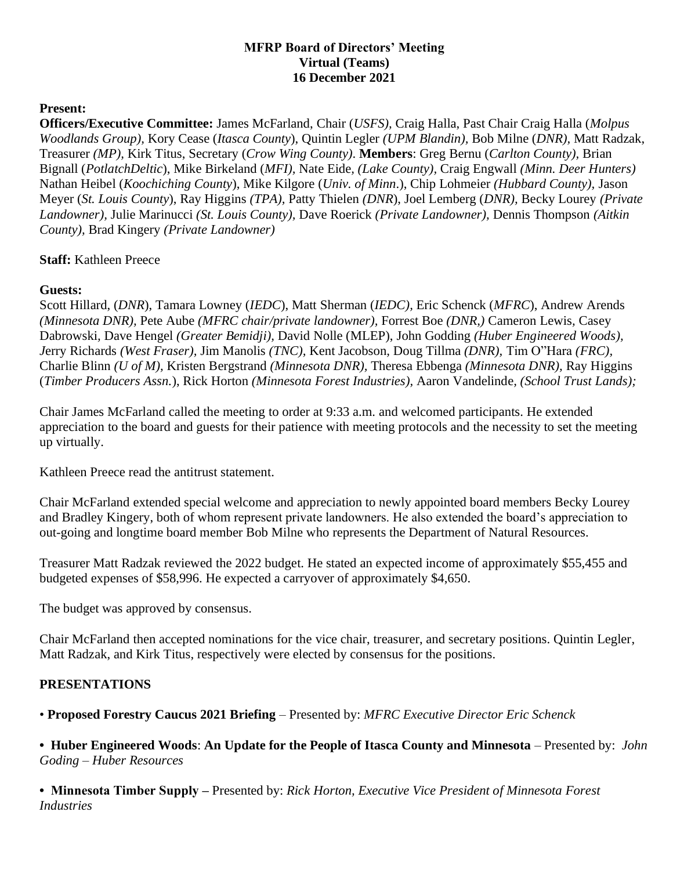## **MFRP Board of Directors' Meeting Virtual (Teams) 16 December 2021**

# **Present:**

**Officers/Executive Committee:** James McFarland, Chair (*USFS),* Craig Halla, Past Chair Craig Halla (*Molpus Woodlands Group),* Kory Cease (*Itasca County*), Quintin Legler *(UPM Blandin),* Bob Milne (*DNR),* Matt Radzak, Treasurer *(MP),* Kirk Titus, Secretary (*Crow Wing County)*. **Members**: Greg Bernu (*Carlton County),* Brian Bignall (*PotlatchDeltic*), Mike Birkeland (*MFI),* Nate Eide*, (Lake County),* Craig Engwall *(Minn. Deer Hunters)*  Nathan Heibel (*Koochiching County*), Mike Kilgore (*Univ. of Minn*.), Chip Lohmeier *(Hubbard County),* Jason Meyer (*St. Louis County*), Ray Higgins *(TPA),* Patty Thielen *(DNR*), Joel Lemberg (*DNR),* Becky Lourey *(Private Landowner),* Julie Marinucci *(St. Louis County),* Dave Roerick *(Private Landowner),* Dennis Thompson *(Aitkin County),* Brad Kingery *(Private Landowner)* 

#### **Staff:** Kathleen Preece

# **Guests:**

Scott Hillard, (*DNR*), Tamara Lowney (*IEDC*), Matt Sherman (*IEDC),* Eric Schenck (*MFRC*), Andrew Arends *(Minnesota DNR),* Pete Aube *(MFRC chair/private landowner),* Forrest Boe *(DNR,)* Cameron Lewis*,* Casey Dabrowski*,* Dave Hengel *(Greater Bemidji),* David Nolle (MLEP), John Godding *(Huber Engineered Woods), J*erry Richards *(West Fraser),* Jim Manolis *(TNC),* Kent Jacobson*,* Doug Tillma *(DNR),* Tim O"Hara *(FRC),*  Charlie Blinn *(U of M),* Kristen Bergstrand *(Minnesota DNR),* Theresa Ebbenga *(Minnesota DNR),* Ray Higgins (*Timber Producers Assn.*), Rick Horton *(Minnesota Forest Industries),* Aaron Vandelinde*, (School Trust Lands);* 

Chair James McFarland called the meeting to order at 9:33 a.m. and welcomed participants. He extended appreciation to the board and guests for their patience with meeting protocols and the necessity to set the meeting up virtually.

Kathleen Preece read the antitrust statement.

Chair McFarland extended special welcome and appreciation to newly appointed board members Becky Lourey and Bradley Kingery, both of whom represent private landowners. He also extended the board's appreciation to out-going and longtime board member Bob Milne who represents the Department of Natural Resources.

Treasurer Matt Radzak reviewed the 2022 budget. He stated an expected income of approximately \$55,455 and budgeted expenses of \$58,996. He expected a carryover of approximately \$4,650.

The budget was approved by consensus.

Chair McFarland then accepted nominations for the vice chair, treasurer, and secretary positions. Quintin Legler, Matt Radzak, and Kirk Titus, respectively were elected by consensus for the positions.

#### **PRESENTATIONS**

• **Proposed Forestry Caucus 2021 Briefing** – Presented by: *MFRC Executive Director Eric Schenck*

• Huber Engineered Woods: An Update for the People of Itasca County and Minnesota – Presented by: *John Goding – Huber Resources* 

**• Minnesota Timber Supply –** Presented by: *Rick Horton, Executive Vice President of Minnesota Forest Industries*